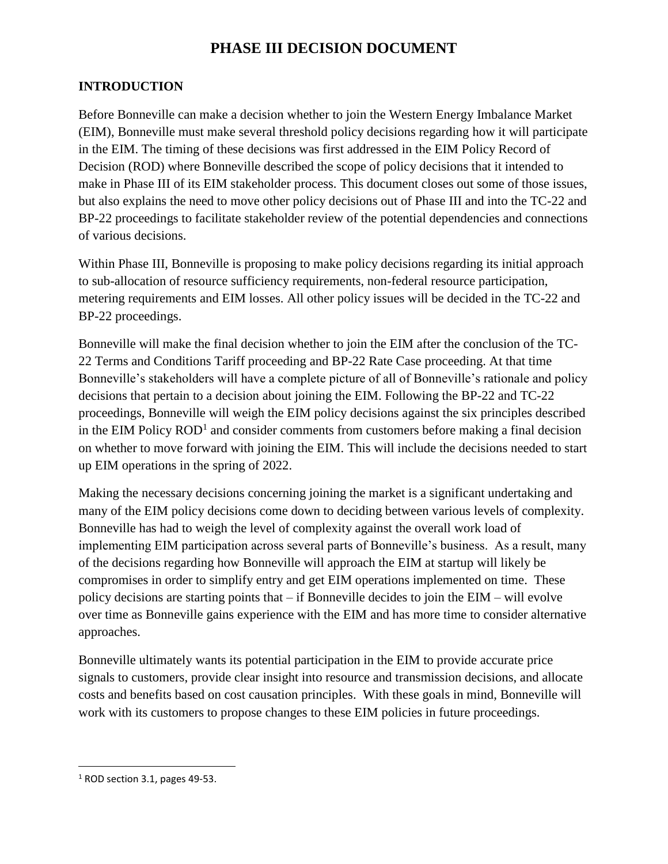# **PHASE III DECISION DOCUMENT**

## **INTRODUCTION**

Before Bonneville can make a decision whether to join the Western Energy Imbalance Market (EIM), Bonneville must make several threshold policy decisions regarding how it will participate in the EIM. The timing of these decisions was first addressed in the EIM Policy Record of Decision (ROD) where Bonneville described the scope of policy decisions that it intended to make in Phase III of its EIM stakeholder process. This document closes out some of those issues, but also explains the need to move other policy decisions out of Phase III and into the TC-22 and BP-22 proceedings to facilitate stakeholder review of the potential dependencies and connections of various decisions.

Within Phase III, Bonneville is proposing to make policy decisions regarding its initial approach to sub-allocation of resource sufficiency requirements, non-federal resource participation, metering requirements and EIM losses. All other policy issues will be decided in the TC-22 and BP-22 proceedings.

Bonneville will make the final decision whether to join the EIM after the conclusion of the TC-22 Terms and Conditions Tariff proceeding and BP-22 Rate Case proceeding. At that time Bonneville's stakeholders will have a complete picture of all of Bonneville's rationale and policy decisions that pertain to a decision about joining the EIM. Following the BP-22 and TC-22 proceedings, Bonneville will weigh the EIM policy decisions against the six principles described in the EIM Policy  $\text{ROD}^1$  and consider comments from customers before making a final decision on whether to move forward with joining the EIM. This will include the decisions needed to start up EIM operations in the spring of 2022.

Making the necessary decisions concerning joining the market is a significant undertaking and many of the EIM policy decisions come down to deciding between various levels of complexity. Bonneville has had to weigh the level of complexity against the overall work load of implementing EIM participation across several parts of Bonneville's business. As a result, many of the decisions regarding how Bonneville will approach the EIM at startup will likely be compromises in order to simplify entry and get EIM operations implemented on time. These policy decisions are starting points that – if Bonneville decides to join the EIM – will evolve over time as Bonneville gains experience with the EIM and has more time to consider alternative approaches.

Bonneville ultimately wants its potential participation in the EIM to provide accurate price signals to customers, provide clear insight into resource and transmission decisions, and allocate costs and benefits based on cost causation principles. With these goals in mind, Bonneville will work with its customers to propose changes to these EIM policies in future proceedings.

 $\overline{\phantom{a}}$ 

<sup>1</sup> ROD section 3.1, pages 49-53.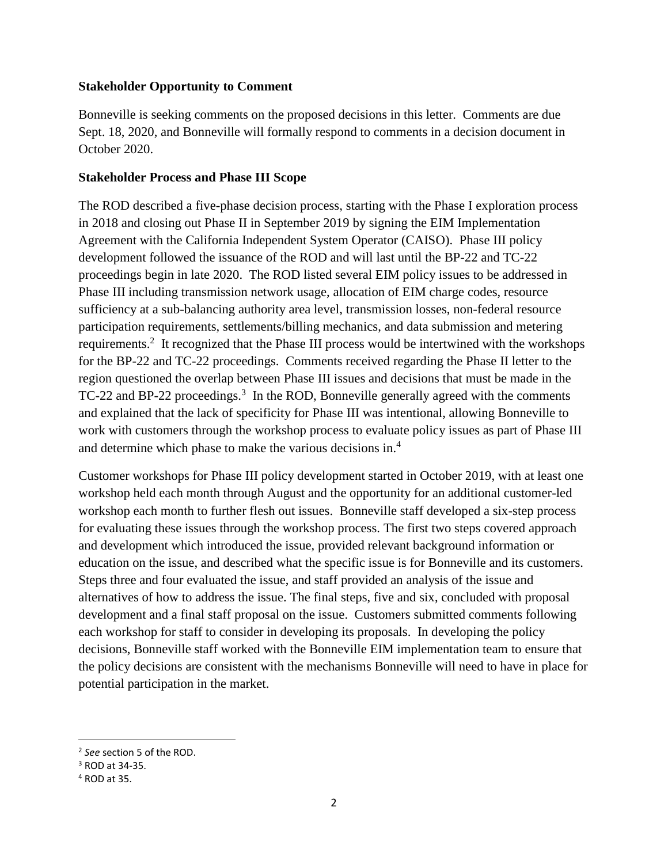#### **Stakeholder Opportunity to Comment**

Bonneville is seeking comments on the proposed decisions in this letter. Comments are due Sept. 18, 2020, and Bonneville will formally respond to comments in a decision document in October 2020.

#### **Stakeholder Process and Phase III Scope**

The ROD described a five-phase decision process, starting with the Phase I exploration process in 2018 and closing out Phase II in September 2019 by signing the EIM Implementation Agreement with the California Independent System Operator (CAISO). Phase III policy development followed the issuance of the ROD and will last until the BP-22 and TC-22 proceedings begin in late 2020. The ROD listed several EIM policy issues to be addressed in Phase III including transmission network usage, allocation of EIM charge codes, resource sufficiency at a sub-balancing authority area level, transmission losses, non-federal resource participation requirements, settlements/billing mechanics, and data submission and metering requirements.<sup>2</sup> It recognized that the Phase III process would be intertwined with the workshops for the BP-22 and TC-22 proceedings. Comments received regarding the Phase II letter to the region questioned the overlap between Phase III issues and decisions that must be made in the TC-22 and BP-22 proceedings.<sup>3</sup> In the ROD, Bonneville generally agreed with the comments and explained that the lack of specificity for Phase III was intentional, allowing Bonneville to work with customers through the workshop process to evaluate policy issues as part of Phase III and determine which phase to make the various decisions in. 4

Customer workshops for Phase III policy development started in October 2019, with at least one workshop held each month through August and the opportunity for an additional customer-led workshop each month to further flesh out issues. Bonneville staff developed a six-step process for evaluating these issues through the workshop process. The first two steps covered approach and development which introduced the issue, provided relevant background information or education on the issue, and described what the specific issue is for Bonneville and its customers. Steps three and four evaluated the issue, and staff provided an analysis of the issue and alternatives of how to address the issue. The final steps, five and six, concluded with proposal development and a final staff proposal on the issue. Customers submitted comments following each workshop for staff to consider in developing its proposals. In developing the policy decisions, Bonneville staff worked with the Bonneville EIM implementation team to ensure that the policy decisions are consistent with the mechanisms Bonneville will need to have in place for potential participation in the market.

 $\overline{a}$ 

<sup>2</sup> *See* section 5 of the ROD.

<sup>3</sup> ROD at 34-35.

<sup>4</sup> ROD at 35.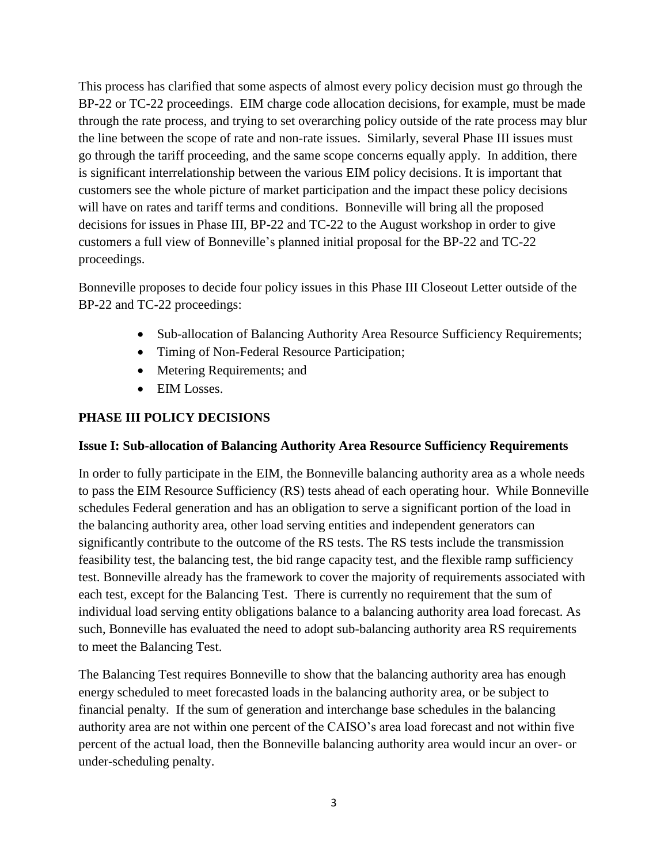This process has clarified that some aspects of almost every policy decision must go through the BP-22 or TC-22 proceedings. EIM charge code allocation decisions, for example, must be made through the rate process, and trying to set overarching policy outside of the rate process may blur the line between the scope of rate and non-rate issues. Similarly, several Phase III issues must go through the tariff proceeding, and the same scope concerns equally apply. In addition, there is significant interrelationship between the various EIM policy decisions. It is important that customers see the whole picture of market participation and the impact these policy decisions will have on rates and tariff terms and conditions. Bonneville will bring all the proposed decisions for issues in Phase III, BP-22 and TC-22 to the August workshop in order to give customers a full view of Bonneville's planned initial proposal for the BP-22 and TC-22 proceedings.

Bonneville proposes to decide four policy issues in this Phase III Closeout Letter outside of the BP-22 and TC-22 proceedings:

- Sub-allocation of Balancing Authority Area Resource Sufficiency Requirements;
- Timing of Non-Federal Resource Participation;
- Metering Requirements; and
- EIM Losses.

## **PHASE III POLICY DECISIONS**

#### **Issue I: Sub-allocation of Balancing Authority Area Resource Sufficiency Requirements**

In order to fully participate in the EIM, the Bonneville balancing authority area as a whole needs to pass the EIM Resource Sufficiency (RS) tests ahead of each operating hour. While Bonneville schedules Federal generation and has an obligation to serve a significant portion of the load in the balancing authority area, other load serving entities and independent generators can significantly contribute to the outcome of the RS tests. The RS tests include the transmission feasibility test, the balancing test, the bid range capacity test, and the flexible ramp sufficiency test. Bonneville already has the framework to cover the majority of requirements associated with each test, except for the Balancing Test. There is currently no requirement that the sum of individual load serving entity obligations balance to a balancing authority area load forecast. As such, Bonneville has evaluated the need to adopt sub-balancing authority area RS requirements to meet the Balancing Test.

The Balancing Test requires Bonneville to show that the balancing authority area has enough energy scheduled to meet forecasted loads in the balancing authority area, or be subject to financial penalty. If the sum of generation and interchange base schedules in the balancing authority area are not within one percent of the CAISO's area load forecast and not within five percent of the actual load, then the Bonneville balancing authority area would incur an over- or under-scheduling penalty.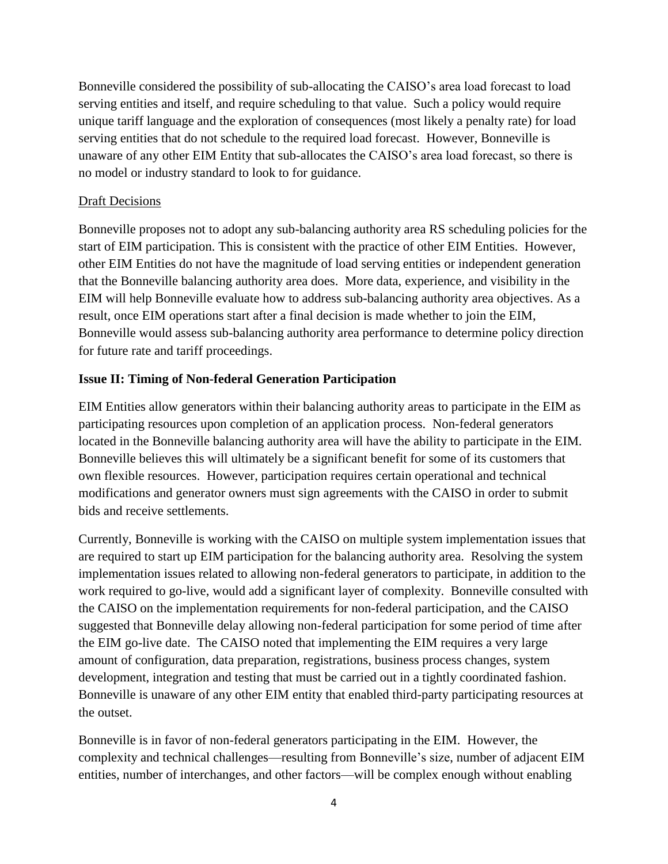Bonneville considered the possibility of sub-allocating the CAISO's area load forecast to load serving entities and itself, and require scheduling to that value. Such a policy would require unique tariff language and the exploration of consequences (most likely a penalty rate) for load serving entities that do not schedule to the required load forecast. However, Bonneville is unaware of any other EIM Entity that sub-allocates the CAISO's area load forecast, so there is no model or industry standard to look to for guidance.

#### Draft Decisions

Bonneville proposes not to adopt any sub-balancing authority area RS scheduling policies for the start of EIM participation. This is consistent with the practice of other EIM Entities. However, other EIM Entities do not have the magnitude of load serving entities or independent generation that the Bonneville balancing authority area does. More data, experience, and visibility in the EIM will help Bonneville evaluate how to address sub-balancing authority area objectives. As a result, once EIM operations start after a final decision is made whether to join the EIM, Bonneville would assess sub-balancing authority area performance to determine policy direction for future rate and tariff proceedings.

### **Issue II: Timing of Non-federal Generation Participation**

EIM Entities allow generators within their balancing authority areas to participate in the EIM as participating resources upon completion of an application process. Non-federal generators located in the Bonneville balancing authority area will have the ability to participate in the EIM. Bonneville believes this will ultimately be a significant benefit for some of its customers that own flexible resources. However, participation requires certain operational and technical modifications and generator owners must sign agreements with the CAISO in order to submit bids and receive settlements.

Currently, Bonneville is working with the CAISO on multiple system implementation issues that are required to start up EIM participation for the balancing authority area. Resolving the system implementation issues related to allowing non-federal generators to participate, in addition to the work required to go-live, would add a significant layer of complexity. Bonneville consulted with the CAISO on the implementation requirements for non-federal participation, and the CAISO suggested that Bonneville delay allowing non-federal participation for some period of time after the EIM go-live date. The CAISO noted that implementing the EIM requires a very large amount of configuration, data preparation, registrations, business process changes, system development, integration and testing that must be carried out in a tightly coordinated fashion. Bonneville is unaware of any other EIM entity that enabled third-party participating resources at the outset.

Bonneville is in favor of non-federal generators participating in the EIM. However, the complexity and technical challenges—resulting from Bonneville's size, number of adjacent EIM entities, number of interchanges, and other factors—will be complex enough without enabling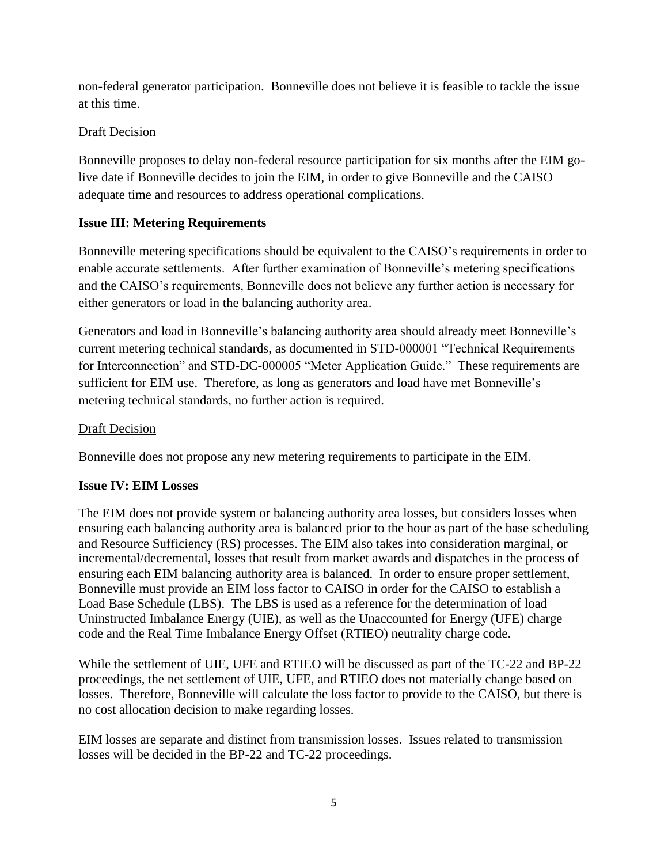non-federal generator participation. Bonneville does not believe it is feasible to tackle the issue at this time.

## Draft Decision

Bonneville proposes to delay non-federal resource participation for six months after the EIM golive date if Bonneville decides to join the EIM, in order to give Bonneville and the CAISO adequate time and resources to address operational complications.

### **Issue III: Metering Requirements**

Bonneville metering specifications should be equivalent to the CAISO's requirements in order to enable accurate settlements. After further examination of Bonneville's metering specifications and the CAISO's requirements, Bonneville does not believe any further action is necessary for either generators or load in the balancing authority area.

Generators and load in Bonneville's balancing authority area should already meet Bonneville's current metering technical standards, as documented in STD-000001 "Technical Requirements for Interconnection" and STD-DC-000005 "Meter Application Guide." These requirements are sufficient for EIM use. Therefore, as long as generators and load have met Bonneville's metering technical standards, no further action is required.

### Draft Decision

Bonneville does not propose any new metering requirements to participate in the EIM.

#### **Issue IV: EIM Losses**

The EIM does not provide system or balancing authority area losses, but considers losses when ensuring each balancing authority area is balanced prior to the hour as part of the base scheduling and Resource Sufficiency (RS) processes. The EIM also takes into consideration marginal, or incremental/decremental, losses that result from market awards and dispatches in the process of ensuring each EIM balancing authority area is balanced. In order to ensure proper settlement, Bonneville must provide an EIM loss factor to CAISO in order for the CAISO to establish a Load Base Schedule (LBS). The LBS is used as a reference for the determination of load Uninstructed Imbalance Energy (UIE), as well as the Unaccounted for Energy (UFE) charge code and the Real Time Imbalance Energy Offset (RTIEO) neutrality charge code.

While the settlement of UIE, UFE and RTIEO will be discussed as part of the TC-22 and BP-22 proceedings, the net settlement of UIE, UFE, and RTIEO does not materially change based on losses. Therefore, Bonneville will calculate the loss factor to provide to the CAISO, but there is no cost allocation decision to make regarding losses.

EIM losses are separate and distinct from transmission losses. Issues related to transmission losses will be decided in the BP-22 and TC-22 proceedings.